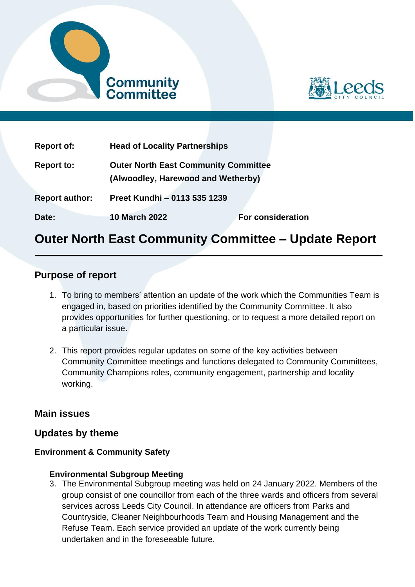



| <b>Report of:</b>     | <b>Head of Locality Partnerships</b>                                              |                          |  |  |
|-----------------------|-----------------------------------------------------------------------------------|--------------------------|--|--|
| <b>Report to:</b>     | <b>Outer North East Community Committee</b><br>(Alwoodley, Harewood and Wetherby) |                          |  |  |
| <b>Report author:</b> | Preet Kundhi - 0113 535 1239                                                      |                          |  |  |
| Date:                 | <b>10 March 2022</b>                                                              | <b>For consideration</b> |  |  |

# **Outer North East Community Committee – Update Report**

## **Purpose of report**

- 1. To bring to members' attention an update of the work which the Communities Team is engaged in, based on priorities identified by the Community Committee. It also provides opportunities for further questioning, or to request a more detailed report on a particular issue.
- 2. This report provides regular updates on some of the key activities between Community Committee meetings and functions delegated to Community Committees, Community Champions roles, community engagement, partnership and locality working.

## **Main issues**

## **Updates by theme**

## **Environment & Community Safety**

#### **Environmental Subgroup Meeting**

3. The Environmental Subgroup meeting was held on 24 January 2022. Members of the group consist of one councillor from each of the three wards and officers from several services across Leeds City Council. In attendance are officers from Parks and Countryside, Cleaner Neighbourhoods Team and Housing Management and the Refuse Team. Each service provided an update of the work currently being undertaken and in the foreseeable future.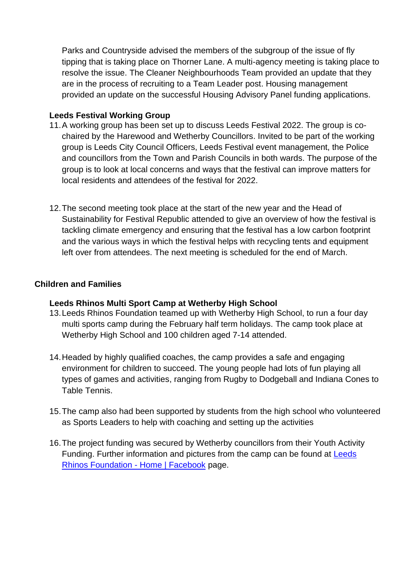Parks and Countryside advised the members of the subgroup of the issue of fly tipping that is taking place on Thorner Lane. A multi-agency meeting is taking place to resolve the issue. The Cleaner Neighbourhoods Team provided an update that they are in the process of recruiting to a Team Leader post. Housing management provided an update on the successful Housing Advisory Panel funding applications.

#### **Leeds Festival Working Group**

- 11.A working group has been set up to discuss Leeds Festival 2022. The group is cochaired by the Harewood and Wetherby Councillors. Invited to be part of the working group is Leeds City Council Officers, Leeds Festival event management, the Police and councillors from the Town and Parish Councils in both wards. The purpose of the group is to look at local concerns and ways that the festival can improve matters for local residents and attendees of the festival for 2022.
- 12.The second meeting took place at the start of the new year and the Head of Sustainability for Festival Republic attended to give an overview of how the festival is tackling climate emergency and ensuring that the festival has a low carbon footprint and the various ways in which the festival helps with recycling tents and equipment left over from attendees. The next meeting is scheduled for the end of March.

#### **Children and Families**

#### **Leeds Rhinos Multi Sport Camp at Wetherby High School**

- 13.Leeds Rhinos Foundation teamed up with Wetherby High School, to run a four day multi sports camp during the February half term holidays. The camp took place at Wetherby High School and 100 children aged 7-14 attended.
- 14.Headed by highly qualified coaches, the camp provides a safe and engaging environment for children to succeed. The young people had lots of fun playing all types of games and activities, ranging from Rugby to Dodgeball and Indiana Cones to Table Tennis.
- 15.The camp also had been supported by students from the high school who volunteered as Sports Leaders to help with coaching and setting up the activities
- 16.The project funding was secured by Wetherby councillors from their Youth Activity Funding. Further information and pictures from the camp can be found at [Leeds](https://www.facebook.com/LeedsRhinosFoundation)  [Rhinos Foundation -](https://www.facebook.com/LeedsRhinosFoundation) Home | Facebook page.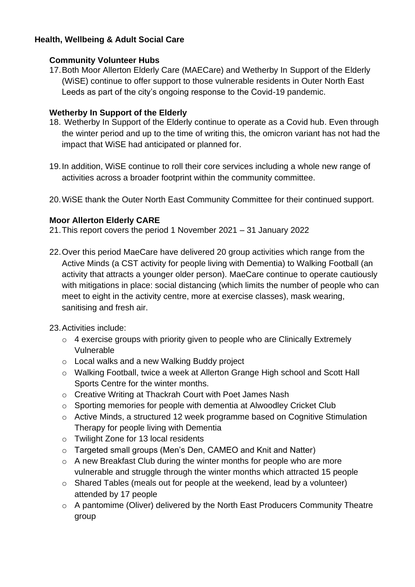## **Health, Wellbeing & Adult Social Care**

### **Community Volunteer Hubs**

17.Both Moor Allerton Elderly Care (MAECare) and Wetherby In Support of the Elderly (WiSE) continue to offer support to those vulnerable residents in Outer North East Leeds as part of the city's ongoing response to the Covid-19 pandemic.

## **Wetherby In Support of the Elderly**

- 18. Wetherby In Support of the Elderly continue to operate as a Covid hub. Even through the winter period and up to the time of writing this, the omicron variant has not had the impact that WiSE had anticipated or planned for.
- 19.In addition, WiSE continue to roll their core services including a whole new range of activities across a broader footprint within the community committee.
- 20.WiSE thank the Outer North East Community Committee for their continued support.

#### **Moor Allerton Elderly CARE**

- 21.This report covers the period 1 November 2021 31 January 2022
- 22.Over this period MaeCare have delivered 20 group activities which range from the Active Minds (a CST activity for people living with Dementia) to Walking Football (an activity that attracts a younger older person). MaeCare continue to operate cautiously with mitigations in place: social distancing (which limits the number of people who can meet to eight in the activity centre, more at exercise classes), mask wearing, sanitising and fresh air.
- 23.Activities include:
	- $\circ$  4 exercise groups with priority given to people who are Clinically Extremely Vulnerable
	- o Local walks and a new Walking Buddy project
	- o Walking Football, twice a week at Allerton Grange High school and Scott Hall Sports Centre for the winter months.
	- o Creative Writing at Thackrah Court with Poet James Nash
	- o Sporting memories for people with dementia at Alwoodley Cricket Club
	- o Active Minds, a structured 12 week programme based on Cognitive Stimulation Therapy for people living with Dementia
	- o Twilight Zone for 13 local residents
	- o Targeted small groups (Men's Den, CAMEO and Knit and Natter)
	- o A new Breakfast Club during the winter months for people who are more vulnerable and struggle through the winter months which attracted 15 people
	- o Shared Tables (meals out for people at the weekend, lead by a volunteer) attended by 17 people
	- o A pantomime (Oliver) delivered by the North East Producers Community Theatre group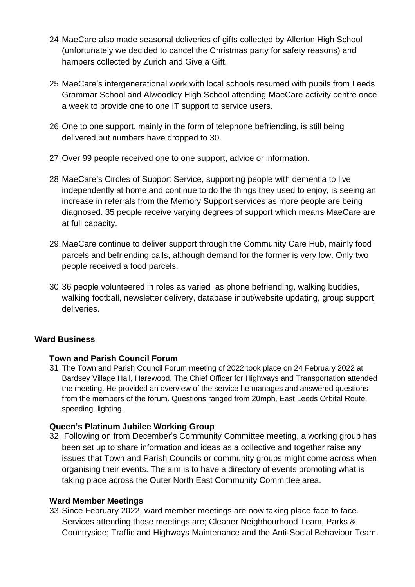- 24.MaeCare also made seasonal deliveries of gifts collected by Allerton High School (unfortunately we decided to cancel the Christmas party for safety reasons) and hampers collected by Zurich and Give a Gift.
- 25.MaeCare's intergenerational work with local schools resumed with pupils from Leeds Grammar School and Alwoodley High School attending MaeCare activity centre once a week to provide one to one IT support to service users.
- 26.One to one support, mainly in the form of telephone befriending, is still being delivered but numbers have dropped to 30.
- 27.Over 99 people received one to one support, advice or information.
- 28.MaeCare's Circles of Support Service, supporting people with dementia to live independently at home and continue to do the things they used to enjoy, is seeing an increase in referrals from the Memory Support services as more people are being diagnosed. 35 people receive varying degrees of support which means MaeCare are at full capacity.
- 29.MaeCare continue to deliver support through the Community Care Hub, mainly food parcels and befriending calls, although demand for the former is very low. Only two people received a food parcels.
- 30.36 people volunteered in roles as varied as phone befriending, walking buddies, walking football, newsletter delivery, database input/website updating, group support, deliveries.

## **Ward Business**

## **Town and Parish Council Forum**

31.The Town and Parish Council Forum meeting of 2022 took place on 24 February 2022 at Bardsey Village Hall, Harewood. The Chief Officer for Highways and Transportation attended the meeting. He provided an overview of the service he manages and answered questions from the members of the forum. Questions ranged from 20mph, East Leeds Orbital Route, speeding, lighting.

## **Queen's Platinum Jubilee Working Group**

32. Following on from December's Community Committee meeting, a working group has been set up to share information and ideas as a collective and together raise any issues that Town and Parish Councils or community groups might come across when organising their events. The aim is to have a directory of events promoting what is taking place across the Outer North East Community Committee area.

## **Ward Member Meetings**

33.Since February 2022, ward member meetings are now taking place face to face. Services attending those meetings are; Cleaner Neighbourhood Team, Parks & Countryside; Traffic and Highways Maintenance and the Anti-Social Behaviour Team.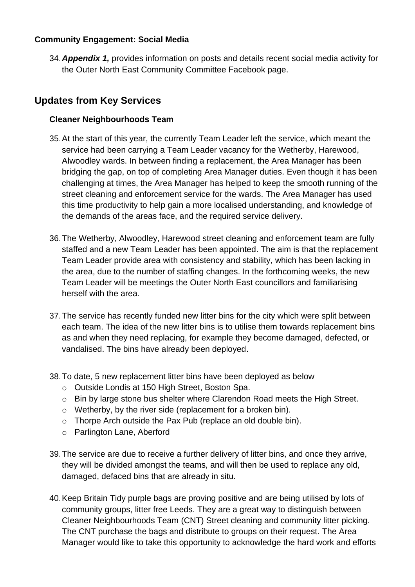## **Community Engagement: Social Media**

34.*Appendix 1,* provides information on posts and details recent social media activity for the Outer North East Community Committee Facebook page.

## **Updates from Key Services**

## **Cleaner Neighbourhoods Team**

- 35.At the start of this year, the currently Team Leader left the service, which meant the service had been carrying a Team Leader vacancy for the Wetherby, Harewood, Alwoodley wards. In between finding a replacement, the Area Manager has been bridging the gap, on top of completing Area Manager duties. Even though it has been challenging at times, the Area Manager has helped to keep the smooth running of the street cleaning and enforcement service for the wards. The Area Manager has used this time productivity to help gain a more localised understanding, and knowledge of the demands of the areas face, and the required service delivery.
- 36.The Wetherby, Alwoodley, Harewood street cleaning and enforcement team are fully staffed and a new Team Leader has been appointed. The aim is that the replacement Team Leader provide area with consistency and stability, which has been lacking in the area, due to the number of staffing changes. In the forthcoming weeks, the new Team Leader will be meetings the Outer North East councillors and familiarising herself with the area.
- 37.The service has recently funded new litter bins for the city which were split between each team. The idea of the new litter bins is to utilise them towards replacement bins as and when they need replacing, for example they become damaged, defected, or vandalised. The bins have already been deployed.
- 38.To date, 5 new replacement litter bins have been deployed as below
	- o Outside Londis at 150 High Street, Boston Spa.
	- o Bin by large stone bus shelter where Clarendon Road meets the High Street.
	- o Wetherby, by the river side (replacement for a broken bin).
	- o Thorpe Arch outside the Pax Pub (replace an old double bin).
	- o Parlington Lane, Aberford
- 39.The service are due to receive a further delivery of litter bins, and once they arrive, they will be divided amongst the teams, and will then be used to replace any old, damaged, defaced bins that are already in situ.
- 40.Keep Britain Tidy purple bags are proving positive and are being utilised by lots of community groups, litter free Leeds. They are a great way to distinguish between Cleaner Neighbourhoods Team (CNT) Street cleaning and community litter picking. The CNT purchase the bags and distribute to groups on their request. The Area Manager would like to take this opportunity to acknowledge the hard work and efforts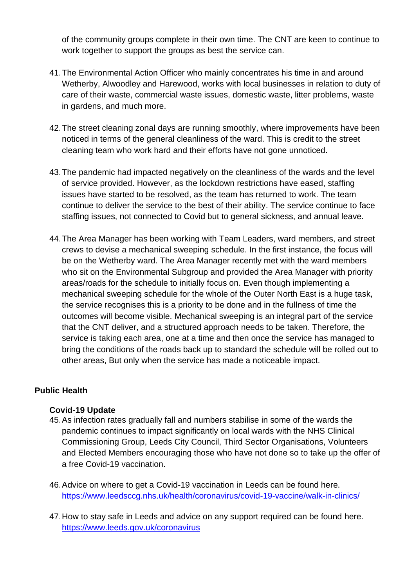of the community groups complete in their own time. The CNT are keen to continue to work together to support the groups as best the service can.

- 41.The Environmental Action Officer who mainly concentrates his time in and around Wetherby, Alwoodley and Harewood, works with local businesses in relation to duty of care of their waste, commercial waste issues, domestic waste, litter problems, waste in gardens, and much more.
- 42.The street cleaning zonal days are running smoothly, where improvements have been noticed in terms of the general cleanliness of the ward. This is credit to the street cleaning team who work hard and their efforts have not gone unnoticed.
- 43.The pandemic had impacted negatively on the cleanliness of the wards and the level of service provided. However, as the lockdown restrictions have eased, staffing issues have started to be resolved, as the team has returned to work. The team continue to deliver the service to the best of their ability. The service continue to face staffing issues, not connected to Covid but to general sickness, and annual leave.
- 44.The Area Manager has been working with Team Leaders, ward members, and street crews to devise a mechanical sweeping schedule. In the first instance, the focus will be on the Wetherby ward. The Area Manager recently met with the ward members who sit on the Environmental Subgroup and provided the Area Manager with priority areas/roads for the schedule to initially focus on. Even though implementing a mechanical sweeping schedule for the whole of the Outer North East is a huge task, the service recognises this is a priority to be done and in the fullness of time the outcomes will become visible. Mechanical sweeping is an integral part of the service that the CNT deliver, and a structured approach needs to be taken. Therefore, the service is taking each area, one at a time and then once the service has managed to bring the conditions of the roads back up to standard the schedule will be rolled out to other areas, But only when the service has made a noticeable impact.

## **Public Health**

#### **Covid-19 Update**

- 45.As infection rates gradually fall and numbers stabilise in some of the wards the pandemic continues to impact significantly on local wards with the NHS Clinical Commissioning Group, Leeds City Council, Third Sector Organisations, Volunteers and Elected Members encouraging those who have not done so to take up the offer of a free Covid-19 vaccination.
- 46.Advice on where to get a Covid-19 vaccination in Leeds can be found here. <https://www.leedsccg.nhs.uk/health/coronavirus/covid-19-vaccine/walk-in-clinics/>
- 47.How to stay safe in Leeds and advice on any support required can be found here. <https://www.leeds.gov.uk/coronavirus>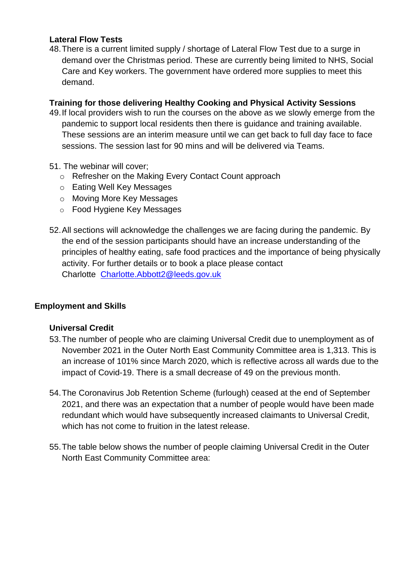#### **Lateral Flow Tests**

48.There is a current limited supply / shortage of Lateral Flow Test due to a surge in demand over the Christmas period. These are currently being limited to NHS, Social Care and Key workers. The government have ordered more supplies to meet this demand.

## **Training for those delivering Healthy Cooking and Physical Activity Sessions**

- 49.If local providers wish to run the courses on the above as we slowly emerge from the pandemic to support local residents then there is guidance and training available. These sessions are an interim measure until we can get back to full day face to face sessions. The session last for 90 mins and will be delivered via Teams.
- 51. The webinar will cover;
	- o Refresher on the Making Every Contact Count approach
	- o Eating Well Key Messages
	- o Moving More Key Messages
	- o Food Hygiene Key Messages
- 52.All sections will acknowledge the challenges we are facing during the pandemic. By the end of the session participants should have an increase understanding of the principles of healthy eating, safe food practices and the importance of being physically activity. For further details or to book a place please contact Charlotte [Charlotte.Abbott2@leeds.gov.uk](mailto:Charlotte.Abbott2@leeds.gov.uk)

## **Employment and Skills**

#### **Universal Credit**

- 53.The number of people who are claiming Universal Credit due to unemployment as of November 2021 in the Outer North East Community Committee area is 1,313. This is an increase of 101% since March 2020, which is reflective across all wards due to the impact of Covid-19. There is a small decrease of 49 on the previous month.
- 54.The Coronavirus Job Retention Scheme (furlough) ceased at the end of September 2021, and there was an expectation that a number of people would have been made redundant which would have subsequently increased claimants to Universal Credit, which has not come to fruition in the latest release.
- 55.The table below shows the number of people claiming Universal Credit in the Outer North East Community Committee area: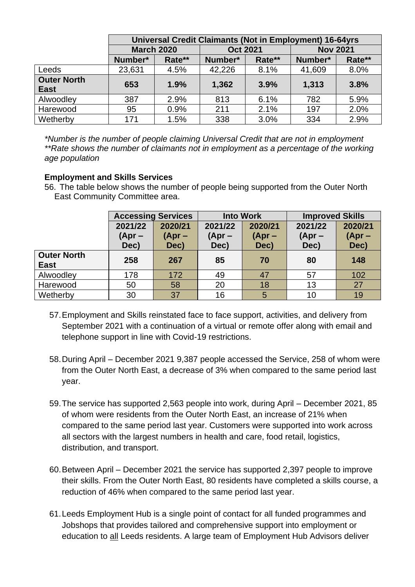|                    | Universal Credit Claimants (Not in Employment) 16-64yrs |        |                 |        |                 |        |  |
|--------------------|---------------------------------------------------------|--------|-----------------|--------|-----------------|--------|--|
|                    | <b>March 2020</b>                                       |        | <b>Oct 2021</b> |        | <b>Nov 2021</b> |        |  |
|                    | Number*                                                 | Rate** | Number*         | Rate** | Number*         | Rate** |  |
| Leeds              | 23,631                                                  | 4.5%   | 42,226          | 8.1%   | 41,609          | 8.0%   |  |
| <b>Outer North</b> | 653                                                     | 1.9%   | 1,362           | 3.9%   | 1,313           | 3.8%   |  |
| <b>East</b>        |                                                         |        |                 |        |                 |        |  |
| Alwoodley          | 387                                                     | 2.9%   | 813             | 6.1%   | 782             | 5.9%   |  |
| Harewood           | 95                                                      | 0.9%   | 211             | 2.1%   | 197             | 2.0%   |  |
| Wetherby           | 171                                                     | 1.5%   | 338             | 3.0%   | 334             | 2.9%   |  |

*\*Number is the number of people claiming Universal Credit that are not in employment \*\*Rate shows the number of claimants not in employment as a percentage of the working age population*

#### **Employment and Skills Services**

56. The table below shows the number of people being supported from the Outer North East Community Committee area.

|                                   | <b>Accessing Services</b> |                             | <b>Into Work</b>            |                             | <b>Improved Skills</b>      |                             |
|-----------------------------------|---------------------------|-----------------------------|-----------------------------|-----------------------------|-----------------------------|-----------------------------|
|                                   | 2021/22<br>(Apr –<br>Dec) | 2020/21<br>$(Apr -$<br>Dec) | 2021/22<br>$(Apr -$<br>Dec) | 2020/21<br>$(Apr -$<br>Dec) | 2021/22<br>$(Apr -$<br>Dec) | 2020/21<br>$(Apr -$<br>Dec) |
| <b>Outer North</b><br><b>East</b> | 258                       | 267                         | 85                          | 70                          | 80                          | 148                         |
| Alwoodley                         | 178                       | 172                         | 49                          | 47                          | 57                          | 102                         |
| Harewood                          | 50                        | 58                          | 20                          | 18                          | 13                          | 27                          |
| Wetherby                          | 30                        | 37                          | 16                          | 5                           | 10                          | 19                          |

- 57.Employment and Skills reinstated face to face support, activities, and delivery from September 2021 with a continuation of a virtual or remote offer along with email and telephone support in line with Covid-19 restrictions.
- 58.During April December 2021 9,387 people accessed the Service, 258 of whom were from the Outer North East, a decrease of 3% when compared to the same period last year.
- 59.The service has supported 2,563 people into work, during April December 2021, 85 of whom were residents from the Outer North East, an increase of 21% when compared to the same period last year. Customers were supported into work across all sectors with the largest numbers in health and care, food retail, logistics, distribution, and transport.
- 60.Between April December 2021 the service has supported 2,397 people to improve their skills. From the Outer North East, 80 residents have completed a skills course, a reduction of 46% when compared to the same period last year.
- 61.Leeds Employment Hub is a single point of contact for all funded programmes and Jobshops that provides tailored and comprehensive support into employment or education to all Leeds residents. A large team of Employment Hub Advisors deliver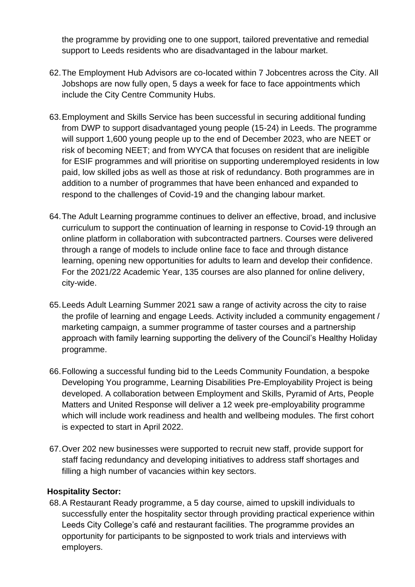the programme by providing one to one support, tailored preventative and remedial support to Leeds residents who are disadvantaged in the labour market.

- 62.The Employment Hub Advisors are co-located within 7 Jobcentres across the City. All Jobshops are now fully open, 5 days a week for face to face appointments which include the City Centre Community Hubs.
- 63.Employment and Skills Service has been successful in securing additional funding from DWP to support disadvantaged young people (15-24) in Leeds. The programme will support 1,600 young people up to the end of December 2023, who are NEET or risk of becoming NEET; and from WYCA that focuses on resident that are ineligible for ESIF programmes and will prioritise on supporting underemployed residents in low paid, low skilled jobs as well as those at risk of redundancy. Both programmes are in addition to a number of programmes that have been enhanced and expanded to respond to the challenges of Covid-19 and the changing labour market.
- 64.The Adult Learning programme continues to deliver an effective, broad, and inclusive curriculum to support the continuation of learning in response to Covid-19 through an online platform in collaboration with subcontracted partners. Courses were delivered through a range of models to include online face to face and through distance learning, opening new opportunities for adults to learn and develop their confidence. For the 2021/22 Academic Year, 135 courses are also planned for online delivery, city-wide.
- 65.Leeds Adult Learning Summer 2021 saw a range of activity across the city to raise the profile of learning and engage Leeds. Activity included a community engagement / marketing campaign, a summer programme of taster courses and a partnership approach with family learning supporting the delivery of the Council's Healthy Holiday programme.
- 66.Following a successful funding bid to the Leeds Community Foundation, a bespoke Developing You programme, Learning Disabilities Pre-Employability Project is being developed. A collaboration between Employment and Skills, Pyramid of Arts, People Matters and United Response will deliver a 12 week pre-employability programme which will include work readiness and health and wellbeing modules. The first cohort is expected to start in April 2022.
- 67.Over 202 new businesses were supported to recruit new staff, provide support for staff facing redundancy and developing initiatives to address staff shortages and filling a high number of vacancies within key sectors.

## **Hospitality Sector:**

68.A Restaurant Ready programme, a 5 day course, aimed to upskill individuals to successfully enter the hospitality sector through providing practical experience within Leeds City College's café and restaurant facilities. The programme provides an opportunity for participants to be signposted to work trials and interviews with employers.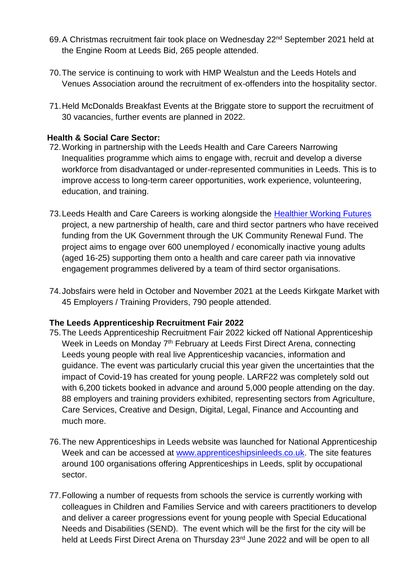- 69. A Christmas recruitment fair took place on Wednesday 22<sup>nd</sup> September 2021 held at the Engine Room at Leeds Bid, 265 people attended.
- 70.The service is continuing to work with HMP Wealstun and the Leeds Hotels and Venues Association around the recruitment of ex-offenders into the hospitality sector.
- 71.Held McDonalds Breakfast Events at the Briggate store to support the recruitment of 30 vacancies, further events are planned in 2022.

## **Health & Social Care Sector:**

- 72.Working in partnership with the Leeds Health and Care Careers Narrowing Inequalities programme which aims to engage with, recruit and develop a diverse workforce from disadvantaged or under-represented communities in Leeds. This is to improve access to long-term career opportunities, work experience, volunteering, education, and training.
- 73.Leeds Health and Care Careers is working alongside the [Healthier Working Futures](https://leedshealthandcareacademy.org/news/healthier-working-futures/) project, a new partnership of health, care and third sector partners who have received funding from the UK Government through the UK Community Renewal Fund. The project aims to engage over 600 unemployed / economically inactive young adults (aged 16-25) supporting them onto a health and care career path via innovative engagement programmes delivered by a team of third sector organisations.
- 74.Jobsfairs were held in October and November 2021 at the Leeds Kirkgate Market with 45 Employers / Training Providers, 790 people attended.

## **The Leeds Apprenticeship Recruitment Fair 2022**

- 75.The Leeds Apprenticeship Recruitment Fair 2022 kicked off National Apprenticeship Week in Leeds on Monday 7<sup>th</sup> February at Leeds First Direct Arena, connecting Leeds young people with real live Apprenticeship vacancies, information and guidance. The event was particularly crucial this year given the uncertainties that the impact of Covid-19 has created for young people. LARF22 was completely sold out with 6,200 tickets booked in advance and around 5,000 people attending on the day. 88 employers and training providers exhibited, representing sectors from Agriculture, Care Services, Creative and Design, Digital, Legal, Finance and Accounting and much more.
- 76.The new Apprenticeships in Leeds website was launched for National Apprenticeship Week and can be accessed at [www.apprenticeshipsinleeds.co.uk.](http://www.apprenticeshipsinleeds.co.uk/) The site features around 100 organisations offering Apprenticeships in Leeds, split by occupational sector.
- 77.Following a number of requests from schools the service is currently working with colleagues in Children and Families Service and with careers practitioners to develop and deliver a career progressions event for young people with Special Educational Needs and Disabilities (SEND). The event which will be the first for the city will be held at Leeds First Direct Arena on Thursday 23<sup>rd</sup> June 2022 and will be open to all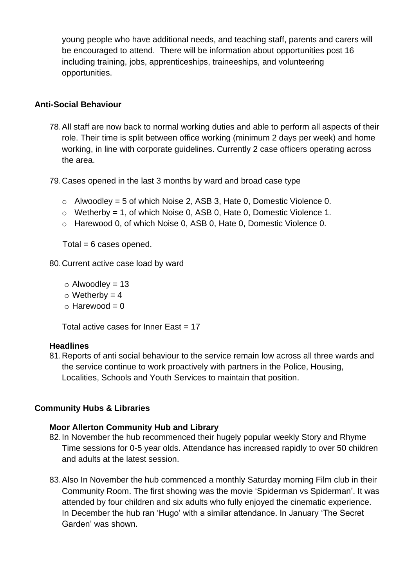young people who have additional needs, and teaching staff, parents and carers will be encouraged to attend. There will be information about opportunities post 16 including training, jobs, apprenticeships, traineeships, and volunteering opportunities.

### **Anti-Social Behaviour**

78.All staff are now back to normal working duties and able to perform all aspects of their role. Their time is split between office working (minimum 2 days per week) and home working, in line with corporate guidelines. Currently 2 case officers operating across the area.

79.Cases opened in the last 3 months by ward and broad case type

- $\circ$  Alwoodley = 5 of which Noise 2, ASB 3, Hate 0, Domestic Violence 0.
- $\circ$  Wetherby = 1, of which Noise 0, ASB 0, Hate 0, Domestic Violence 1.
- o Harewood 0, of which Noise 0, ASB 0, Hate 0, Domestic Violence 0.

 $Total = 6 cases opened.$ 

80.Current active case load by ward

- $\circ$  Alwoodley = 13
- $\circ$  Wetherby = 4
- $\circ$  Harewood = 0

Total active cases for Inner East  $= 17$ 

#### **Headlines**

81.Reports of anti social behaviour to the service remain low across all three wards and the service continue to work proactively with partners in the Police, Housing, Localities, Schools and Youth Services to maintain that position.

## **Community Hubs & Libraries**

#### **Moor Allerton Community Hub and Library**

- 82.In November the hub recommenced their hugely popular weekly Story and Rhyme Time sessions for 0-5 year olds. Attendance has increased rapidly to over 50 children and adults at the latest session.
- 83.Also In November the hub commenced a monthly Saturday morning Film club in their Community Room. The first showing was the movie 'Spiderman vs Spiderman'. It was attended by four children and six adults who fully enjoyed the cinematic experience. In December the hub ran 'Hugo' with a similar attendance. In January 'The Secret Garden' was shown.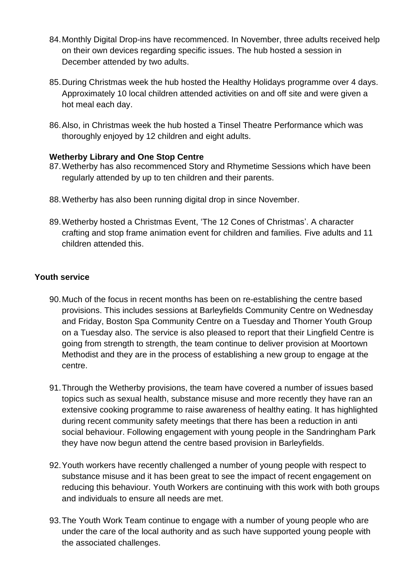- 84.Monthly Digital Drop-ins have recommenced. In November, three adults received help on their own devices regarding specific issues. The hub hosted a session in December attended by two adults.
- 85.During Christmas week the hub hosted the Healthy Holidays programme over 4 days. Approximately 10 local children attended activities on and off site and were given a hot meal each day.
- 86.Also, in Christmas week the hub hosted a Tinsel Theatre Performance which was thoroughly enjoyed by 12 children and eight adults.

#### **Wetherby Library and One Stop Centre**

- 87.Wetherby has also recommenced Story and Rhymetime Sessions which have been regularly attended by up to ten children and their parents.
- 88.Wetherby has also been running digital drop in since November.
- 89.Wetherby hosted a Christmas Event, 'The 12 Cones of Christmas'. A character crafting and stop frame animation event for children and families. Five adults and 11 children attended this.

## **Youth service**

- 90.Much of the focus in recent months has been on re-establishing the centre based provisions. This includes sessions at Barleyfields Community Centre on Wednesday and Friday, Boston Spa Community Centre on a Tuesday and Thorner Youth Group on a Tuesday also. The service is also pleased to report that their Lingfield Centre is going from strength to strength, the team continue to deliver provision at Moortown Methodist and they are in the process of establishing a new group to engage at the centre.
- 91.Through the Wetherby provisions, the team have covered a number of issues based topics such as sexual health, substance misuse and more recently they have ran an extensive cooking programme to raise awareness of healthy eating. It has highlighted during recent community safety meetings that there has been a reduction in anti social behaviour. Following engagement with young people in the Sandringham Park they have now begun attend the centre based provision in Barleyfields.
- 92.Youth workers have recently challenged a number of young people with respect to substance misuse and it has been great to see the impact of recent engagement on reducing this behaviour. Youth Workers are continuing with this work with both groups and individuals to ensure all needs are met.
- 93.The Youth Work Team continue to engage with a number of young people who are under the care of the local authority and as such have supported young people with the associated challenges.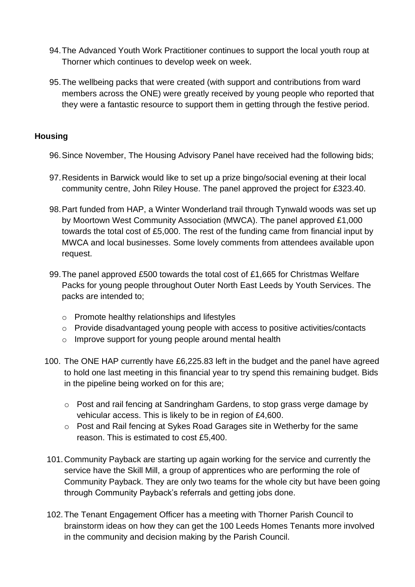- 94.The Advanced Youth Work Practitioner continues to support the local youth roup at Thorner which continues to develop week on week.
- 95.The wellbeing packs that were created (with support and contributions from ward members across the ONE) were greatly received by young people who reported that they were a fantastic resource to support them in getting through the festive period.

## **Housing**

- 96.Since November, The Housing Advisory Panel have received had the following bids;
- 97.Residents in Barwick would like to set up a prize bingo/social evening at their local community centre, John Riley House. The panel approved the project for £323.40.
- 98.Part funded from HAP, a Winter Wonderland trail through Tynwald woods was set up by Moortown West Community Association (MWCA). The panel approved £1,000 towards the total cost of £5,000. The rest of the funding came from financial input by MWCA and local businesses. Some lovely comments from attendees available upon request.
- 99.The panel approved £500 towards the total cost of £1,665 for Christmas Welfare Packs for young people throughout Outer North East Leeds by Youth Services. The packs are intended to;
	- o Promote healthy relationships and lifestyles
	- o Provide disadvantaged young people with access to positive activities/contacts
	- o Improve support for young people around mental health
- 100. The ONE HAP currently have £6,225.83 left in the budget and the panel have agreed to hold one last meeting in this financial year to try spend this remaining budget. Bids in the pipeline being worked on for this are;
	- o Post and rail fencing at Sandringham Gardens, to stop grass verge damage by vehicular access. This is likely to be in region of £4,600.
	- o Post and Rail fencing at Sykes Road Garages site in Wetherby for the same reason. This is estimated to cost £5,400.
- 101.Community Payback are starting up again working for the service and currently the service have the Skill Mill, a group of apprentices who are performing the role of Community Payback. They are only two teams for the whole city but have been going through Community Payback's referrals and getting jobs done.
- 102.The Tenant Engagement Officer has a meeting with Thorner Parish Council to brainstorm ideas on how they can get the 100 Leeds Homes Tenants more involved in the community and decision making by the Parish Council.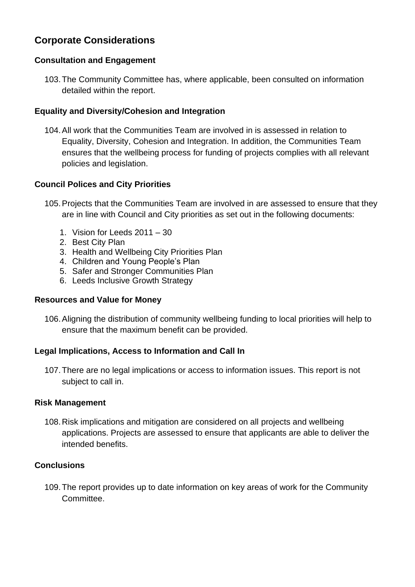## **Corporate Considerations**

## **Consultation and Engagement**

103.The Community Committee has, where applicable, been consulted on information detailed within the report.

## **Equality and Diversity/Cohesion and Integration**

104.All work that the Communities Team are involved in is assessed in relation to Equality, Diversity, Cohesion and Integration. In addition, the Communities Team ensures that the wellbeing process for funding of projects complies with all relevant policies and legislation.

## **Council Polices and City Priorities**

- 105.Projects that the Communities Team are involved in are assessed to ensure that they are in line with Council and City priorities as set out in the following documents:
	- 1. Vision for Leeds 2011 30
	- 2. Best City Plan
	- 3. Health and Wellbeing City Priorities Plan
	- 4. Children and Young People's Plan
	- 5. Safer and Stronger Communities Plan
	- 6. Leeds Inclusive Growth Strategy

#### **Resources and Value for Money**

106.Aligning the distribution of community wellbeing funding to local priorities will help to ensure that the maximum benefit can be provided.

#### **Legal Implications, Access to Information and Call In**

107.There are no legal implications or access to information issues. This report is not subject to call in.

#### **Risk Management**

108.Risk implications and mitigation are considered on all projects and wellbeing applications. Projects are assessed to ensure that applicants are able to deliver the intended benefits.

### **Conclusions**

109.The report provides up to date information on key areas of work for the Community Committee.